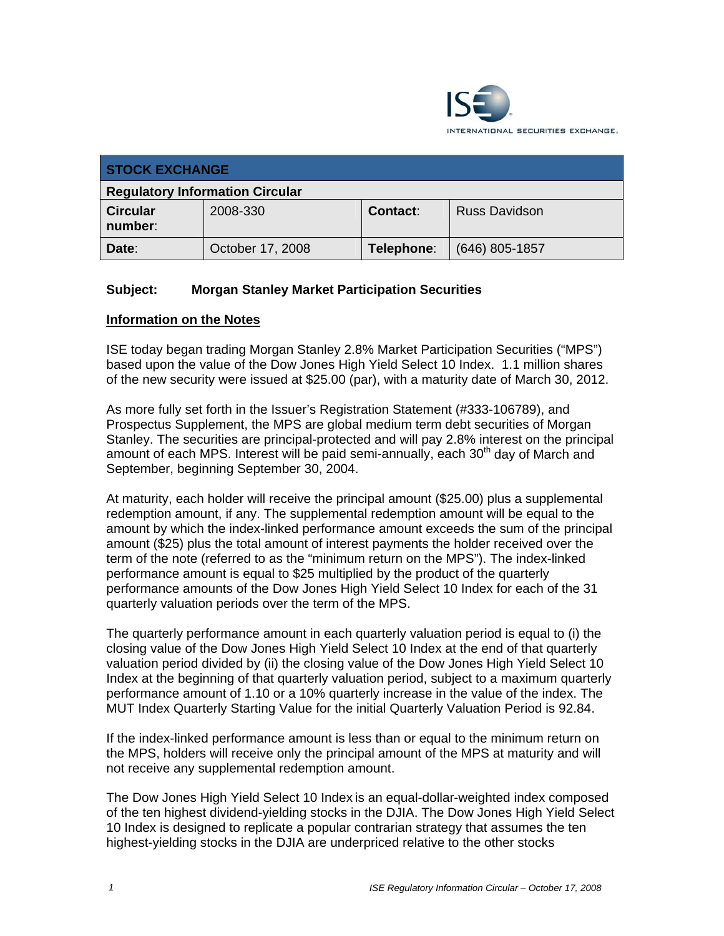

| <b>STOCK EXCHANGE</b>                  |                  |            |                      |  |
|----------------------------------------|------------------|------------|----------------------|--|
| <b>Regulatory Information Circular</b> |                  |            |                      |  |
| <b>Circular</b><br>number:             | 2008-330         | Contact:   | <b>Russ Davidson</b> |  |
| Date:                                  | October 17, 2008 | Telephone: | $(646)$ 805-1857     |  |

## **Subject: Morgan Stanley Market Participation Securities**

## **Information on the Notes**

ISE today began trading Morgan Stanley 2.8% Market Participation Securities ("MPS") based upon the value of the Dow Jones High Yield Select 10 Index. 1.1 million shares of the new security were issued at \$25.00 (par), with a maturity date of March 30, 2012.

As more fully set forth in the Issuer's Registration Statement (#333-106789), and Prospectus Supplement, the MPS are global medium term debt securities of Morgan Stanley. The securities are principal-protected and will pay 2.8% interest on the principal amount of each MPS. Interest will be paid semi-annually, each  $30<sup>th</sup>$  day of March and September, beginning September 30, 2004.

At maturity, each holder will receive the principal amount (\$25.00) plus a supplemental redemption amount, if any. The supplemental redemption amount will be equal to the amount by which the index-linked performance amount exceeds the sum of the principal amount (\$25) plus the total amount of interest payments the holder received over the term of the note (referred to as the "minimum return on the MPS"). The index-linked performance amount is equal to \$25 multiplied by the product of the quarterly performance amounts of the Dow Jones High Yield Select 10 Index for each of the 31 quarterly valuation periods over the term of the MPS.

The quarterly performance amount in each quarterly valuation period is equal to (i) the closing value of the Dow Jones High Yield Select 10 Index at the end of that quarterly valuation period divided by (ii) the closing value of the Dow Jones High Yield Select 10 Index at the beginning of that quarterly valuation period, subject to a maximum quarterly performance amount of 1.10 or a 10% quarterly increase in the value of the index. The MUT Index Quarterly Starting Value for the initial Quarterly Valuation Period is 92.84.

If the index-linked performance amount is less than or equal to the minimum return on the MPS, holders will receive only the principal amount of the MPS at maturity and will not receive any supplemental redemption amount.

The Dow Jones High Yield Select 10 Index is an equal-dollar-weighted index composed of the ten highest dividend-yielding stocks in the DJIA. The Dow Jones High Yield Select 10 Index is designed to replicate a popular contrarian strategy that assumes the ten highest-yielding stocks in the DJIA are underpriced relative to the other stocks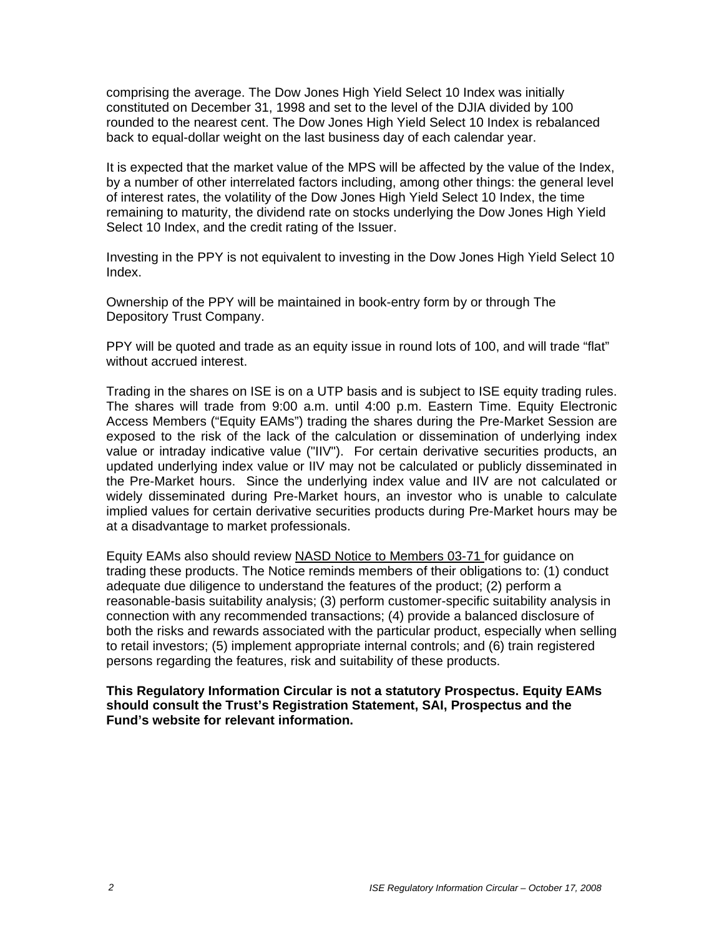comprising the average. The Dow Jones High Yield Select 10 Index was initially constituted on December 31, 1998 and set to the level of the DJIA divided by 100 rounded to the nearest cent. The Dow Jones High Yield Select 10 Index is rebalanced back to equal-dollar weight on the last business day of each calendar year.

It is expected that the market value of the MPS will be affected by the value of the Index, by a number of other interrelated factors including, among other things: the general level of interest rates, the volatility of the Dow Jones High Yield Select 10 Index, the time remaining to maturity, the dividend rate on stocks underlying the Dow Jones High Yield Select 10 Index, and the credit rating of the Issuer.

Investing in the PPY is not equivalent to investing in the Dow Jones High Yield Select 10 Index.

Ownership of the PPY will be maintained in book-entry form by or through The Depository Trust Company.

PPY will be quoted and trade as an equity issue in round lots of 100, and will trade "flat" without accrued interest.

Trading in the shares on ISE is on a UTP basis and is subject to ISE equity trading rules. The shares will trade from 9:00 a.m. until 4:00 p.m. Eastern Time. Equity Electronic Access Members ("Equity EAMs") trading the shares during the Pre-Market Session are exposed to the risk of the lack of the calculation or dissemination of underlying index value or intraday indicative value ("IIV"). For certain derivative securities products, an updated underlying index value or IIV may not be calculated or publicly disseminated in the Pre-Market hours. Since the underlying index value and IIV are not calculated or widely disseminated during Pre-Market hours, an investor who is unable to calculate implied values for certain derivative securities products during Pre-Market hours may be at a disadvantage to market professionals.

Equity EAMs also should review NASD Notice to Members 03-71 for guidance on trading these products. The Notice reminds members of their obligations to: (1) conduct adequate due diligence to understand the features of the product; (2) perform a reasonable-basis suitability analysis; (3) perform customer-specific suitability analysis in connection with any recommended transactions; (4) provide a balanced disclosure of both the risks and rewards associated with the particular product, especially when selling to retail investors; (5) implement appropriate internal controls; and (6) train registered persons regarding the features, risk and suitability of these products.

**This Regulatory Information Circular is not a statutory Prospectus. Equity EAMs should consult the Trust's Registration Statement, SAI, Prospectus and the Fund's website for relevant information.**